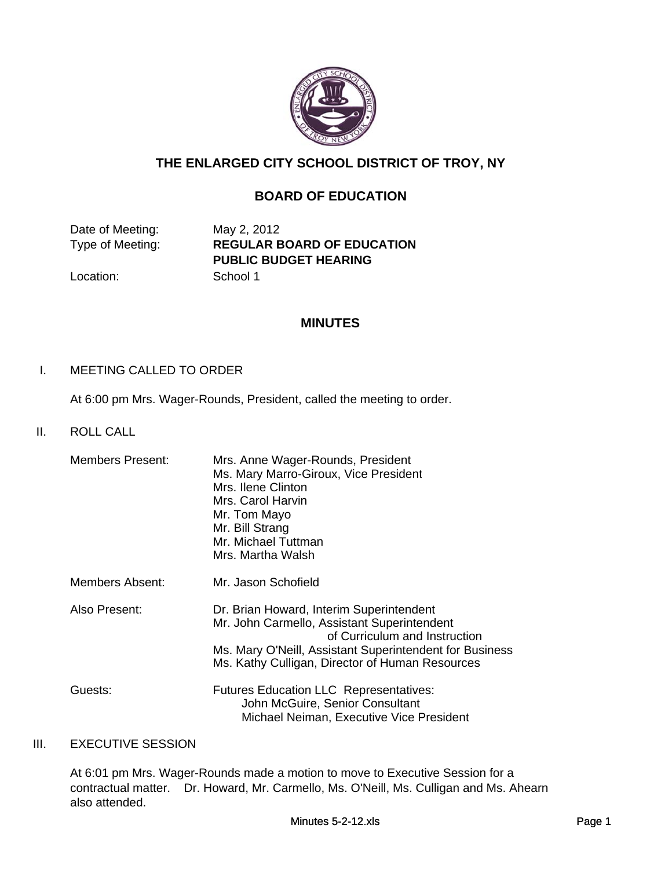

# **THE ENLARGED CITY SCHOOL DISTRICT OF TROY, NY**

# **BOARD OF EDUCATION**

Date of Meeting: May 2, 2012

Type of Meeting: **REGULAR BOARD OF EDUCATION PUBLIC BUDGET HEARING**

Location: School 1

# **MINUTES**

## I. MEETING CALLED TO ORDER

At 6:00 pm Mrs. Wager-Rounds, President, called the meeting to order.

II. ROLL CALL

| Members Present: | Mrs. Anne Wager-Rounds, President<br>Ms. Mary Marro-Giroux, Vice President<br>Mrs. Ilene Clinton<br>Mrs. Carol Harvin<br>Mr. Tom Mayo<br>Mr. Bill Strang<br>Mr. Michael Tuttman<br>Mrs. Martha Walsh                                   |
|------------------|----------------------------------------------------------------------------------------------------------------------------------------------------------------------------------------------------------------------------------------|
| Members Absent:  | Mr. Jason Schofield                                                                                                                                                                                                                    |
| Also Present:    | Dr. Brian Howard, Interim Superintendent<br>Mr. John Carmello, Assistant Superintendent<br>of Curriculum and Instruction<br>Ms. Mary O'Neill, Assistant Superintendent for Business<br>Ms. Kathy Culligan, Director of Human Resources |
| Guests:          | <b>Futures Education LLC Representatives:</b><br>John McGuire, Senior Consultant<br>Michael Neiman, Executive Vice President                                                                                                           |

## III. EXECUTIVE SESSION

At 6:01 pm Mrs. Wager-Rounds made a motion to move to Executive Session for a contractual matter. Dr. Howard, Mr. Carmello, Ms. O'Neill, Ms. Culligan and Ms. Ahearn also attended.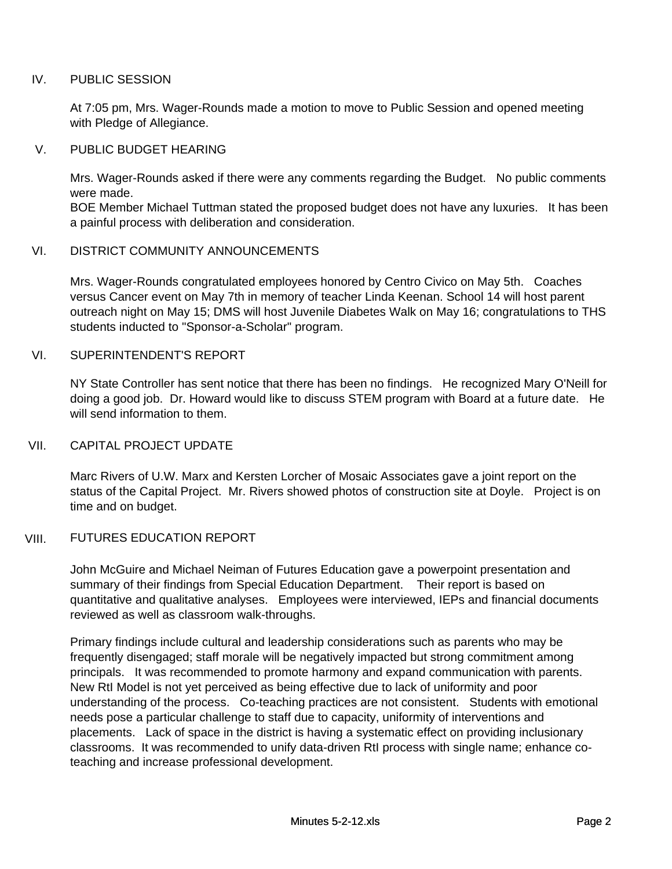# IV. PUBLIC SESSION

At 7:05 pm, Mrs. Wager-Rounds made a motion to move to Public Session and opened meeting with Pledge of Allegiance.

#### V. PUBLIC BUDGET HEARING

Mrs. Wager-Rounds asked if there were any comments regarding the Budget. No public comments were made.

BOE Member Michael Tuttman stated the proposed budget does not have any luxuries. It has been a painful process with deliberation and consideration.

# VI. DISTRICT COMMUNITY ANNOUNCEMENTS

Mrs. Wager-Rounds congratulated employees honored by Centro Civico on May 5th. Coaches versus Cancer event on May 7th in memory of teacher Linda Keenan. School 14 will host parent outreach night on May 15; DMS will host Juvenile Diabetes Walk on May 16; congratulations to THS students inducted to "Sponsor-a-Scholar" program.

## VI. SUPERINTENDENT'S REPORT

NY State Controller has sent notice that there has been no findings. He recognized Mary O'Neill for doing a good job. Dr. Howard would like to discuss STEM program with Board at a future date. He will send information to them.

#### VII. CAPITAL PROJECT UPDATE

Marc Rivers of U.W. Marx and Kersten Lorcher of Mosaic Associates gave a joint report on the status of the Capital Project. Mr. Rivers showed photos of construction site at Doyle. Project is on time and on budget.

#### VIII. FUTURES EDUCATION REPORT

John McGuire and Michael Neiman of Futures Education gave a powerpoint presentation and summary of their findings from Special Education Department. Their report is based on quantitative and qualitative analyses. Employees were interviewed, IEPs and financial documents reviewed as well as classroom walk-throughs.

Primary findings include cultural and leadership considerations such as parents who may be frequently disengaged; staff morale will be negatively impacted but strong commitment among principals. It was recommended to promote harmony and expand communication with parents. New RtI Model is not yet perceived as being effective due to lack of uniformity and poor understanding of the process. Co-teaching practices are not consistent. Students with emotional needs pose a particular challenge to staff due to capacity, uniformity of interventions and placements. Lack of space in the district is having a systematic effect on providing inclusionary classrooms. It was recommended to unify data-driven RtI process with single name; enhance coteaching and increase professional development.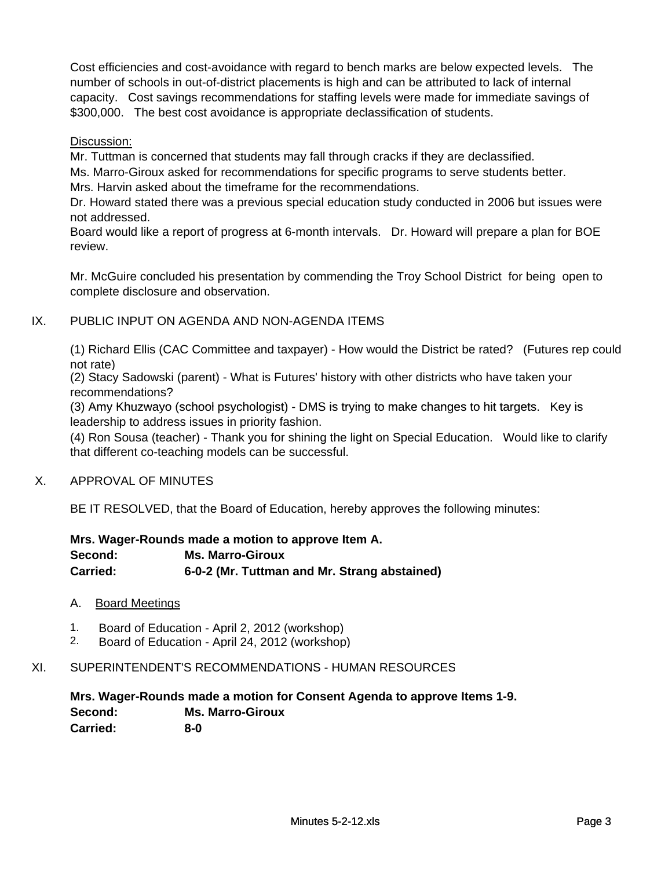Cost efficiencies and cost-avoidance with regard to bench marks are below expected levels. The number of schools in out-of-district placements is high and can be attributed to lack of internal capacity. Cost savings recommendations for staffing levels were made for immediate savings of \$300,000. The best cost avoidance is appropriate declassification of students.

# Discussion:

Mr. Tuttman is concerned that students may fall through cracks if they are declassified.

Ms. Marro-Giroux asked for recommendations for specific programs to serve students better. Mrs. Harvin asked about the timeframe for the recommendations.

Dr. Howard stated there was a previous special education study conducted in 2006 but issues were not addressed.

Board would like a report of progress at 6-month intervals. Dr. Howard will prepare a plan for BOE review.

Mr. McGuire concluded his presentation by commending the Troy School District for being open to complete disclosure and observation.

# IX. PUBLIC INPUT ON AGENDA AND NON-AGENDA ITEMS

(1) Richard Ellis (CAC Committee and taxpayer) - How would the District be rated? (Futures rep could not rate)

(2) Stacy Sadowski (parent) - What is Futures' history with other districts who have taken your recommendations?

(3) Amy Khuzwayo (school psychologist) - DMS is trying to make changes to hit targets. Key is<br>leadership to address issues in priority fashion.

(4) Ron Sousa (teacher) - Thank you for shining the light on Special Education. Would like to clarify that different co-teaching models can be successful.

#### X. APPROVAL OF MINUTES

BE IT RESOLVED, that the Board of Education, hereby approves the following minutes:

# **Mrs. Wager-Rounds made a motion to approve Item A. Second: Ms. Marro-Giroux Carried: 6-0-2 (Mr. Tuttman and Mr. Strang abstained)**

#### A. Board Meetings

- 1. Board of Education April 2, 2012 (workshop)<br>2. Board of Education April 24, 2012 (workshop)
- Board of Education April 24, 2012 (workshop)

#### XI. SUPERINTENDENT'S RECOMMENDATIONS - HUMAN RESOURCES

#### **Mrs. Wager-Rounds made a motion for Consent Agenda to approve Items 1-9. Second: Ms. Marro-Giroux Carried: 8-0**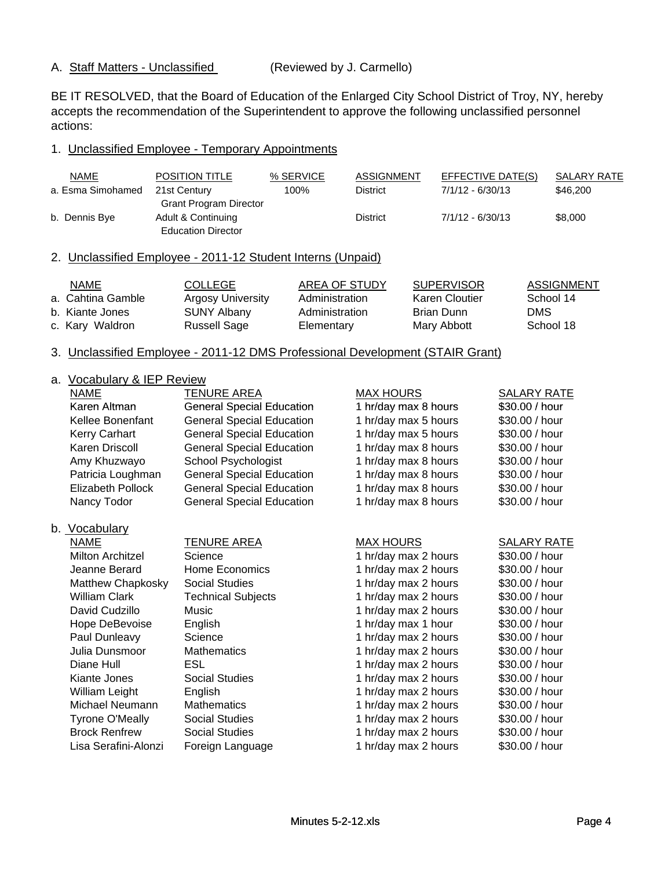#### A. Staff Matters - Unclassified (Reviewed by J. Carmello)

BE IT RESOLVED, that the Board of Education of the Enlarged City School District of Troy, NY, hereby accepts the recommendation of the Superintendent to approve the following unclassified personnel actions:

#### 1. Unclassified Employee - Temporary Appointments

| <b>NAME</b>       | <b>POSITION TITLE</b>                                       | % SERVICE      | <b>ASSIGNMENT</b> | <b>EFFECTIVE DATE(S)</b> | <b>SALARY RATE</b> |
|-------------------|-------------------------------------------------------------|----------------|-------------------|--------------------------|--------------------|
| a. Esma Simohamed | 21st Century                                                | 100%           | <b>District</b>   | $7/1/12 - 6/30/13$       | \$46,200           |
|                   | <b>Grant Program Director</b>                               |                |                   |                          |                    |
| b. Dennis Bye     | Adult & Continuing                                          |                | <b>District</b>   | $7/1/12 - 6/30/13$       | \$8,000            |
|                   | <b>Education Director</b>                                   |                |                   |                          |                    |
|                   | 2. Unclassified Employee - 2011-12 Student Interns (Unpaid) |                |                   |                          |                    |
| <b>NAME</b>       | <b>COLLEGE</b>                                              |                | AREA OF STUDY     | <b>SUPERVISOR</b>        | <b>ASSIGNMENT</b>  |
| a. Cahtina Gamble | <b>Argosy University</b>                                    | Administration |                   | <b>Karen Cloutier</b>    | School 14          |
| b. Kiante Jones   | <b>SUNY Albany</b>                                          | Administration |                   | <b>Brian Dunn</b>        | <b>DMS</b>         |
| c. Kary Waldron   | <b>Russell Sage</b>                                         | Elementary     |                   | Mary Abbott              | School 18          |

#### 3. Unclassified Employee - 2011-12 DMS Professional Development (STAIR Grant)

# a. Vocabulary & IFP Review

| а. | VOCADUIARY & IEP REVIEW  |                                  |                      |                    |
|----|--------------------------|----------------------------------|----------------------|--------------------|
|    | NAME                     | <b>TENURE AREA</b>               | <b>MAX HOURS</b>     | <b>SALARY RATE</b> |
|    | Karen Altman             | <b>General Special Education</b> | 1 hr/day max 8 hours | \$30.00 / hour     |
|    | <b>Kellee Bonenfant</b>  | <b>General Special Education</b> | 1 hr/day max 5 hours | \$30.00 / hour     |
|    | Kerry Carhart            | <b>General Special Education</b> | 1 hr/day max 5 hours | \$30.00 / hour     |
|    | Karen Driscoll           | <b>General Special Education</b> | 1 hr/day max 8 hours | \$30.00 / hour     |
|    | Amy Khuzwayo             | School Psychologist              | 1 hr/day max 8 hours | \$30.00 / hour     |
|    | Patricia Loughman        | <b>General Special Education</b> | 1 hr/day max 8 hours | \$30.00 / hour     |
|    | <b>Elizabeth Pollock</b> | <b>General Special Education</b> | 1 hr/day max 8 hours | \$30.00 / hour     |
|    | Nancy Todor              | <b>General Special Education</b> | 1 hr/day max 8 hours | \$30.00 / hour     |
|    | b. Vocabulary            |                                  |                      |                    |
|    | NAME                     | <u>TENURE AREA</u>               | <b>MAX HOURS</b>     | <b>SALARY RATE</b> |
|    | <b>Milton Architzel</b>  | Science                          | 1 hr/day max 2 hours | \$30.00 / hour     |
|    | Jeanne Berard            | Home Economics                   | 1 hr/day max 2 hours | \$30.00 / hour     |
|    | Matthew Chapkosky        | <b>Social Studies</b>            | 1 hr/day max 2 hours | \$30.00 / hour     |
|    | William Clark            | <b>Technical Subjects</b>        | 1 hr/day max 2 hours | \$30.00 / hour     |
|    | David Cudzillo           | Music                            | 1 hr/day max 2 hours | \$30.00 / hour     |
|    | Hope DeBevoise           | English                          | 1 hr/day max 1 hour  | \$30.00 / hour     |
|    | Paul Dunleavy            | Science                          | 1 hr/day max 2 hours | \$30.00 / hour     |
|    | Julia Dunsmoor           | <b>Mathematics</b>               | 1 hr/day max 2 hours | \$30.00 / hour     |
|    | Diane Hull               | ESL                              | 1 hr/day max 2 hours | \$30.00 / hour     |
|    | Kiante Jones             | <b>Social Studies</b>            | 1 hr/day max 2 hours | \$30.00 / hour     |
|    | William Leight           | English                          | 1 hr/day max 2 hours | \$30.00 / hour     |
|    | Michael Neumann          | <b>Mathematics</b>               | 1 hr/day max 2 hours | \$30.00 / hour     |
|    | <b>Tyrone O'Meally</b>   | <b>Social Studies</b>            | 1 hr/day max 2 hours | \$30.00 / hour     |
|    | <b>Brock Renfrew</b>     | <b>Social Studies</b>            | 1 hr/day max 2 hours | \$30.00 / hour     |
|    | Lisa Serafini-Alonzi     | Foreign Language                 | 1 hr/day max 2 hours | \$30.00 / hour     |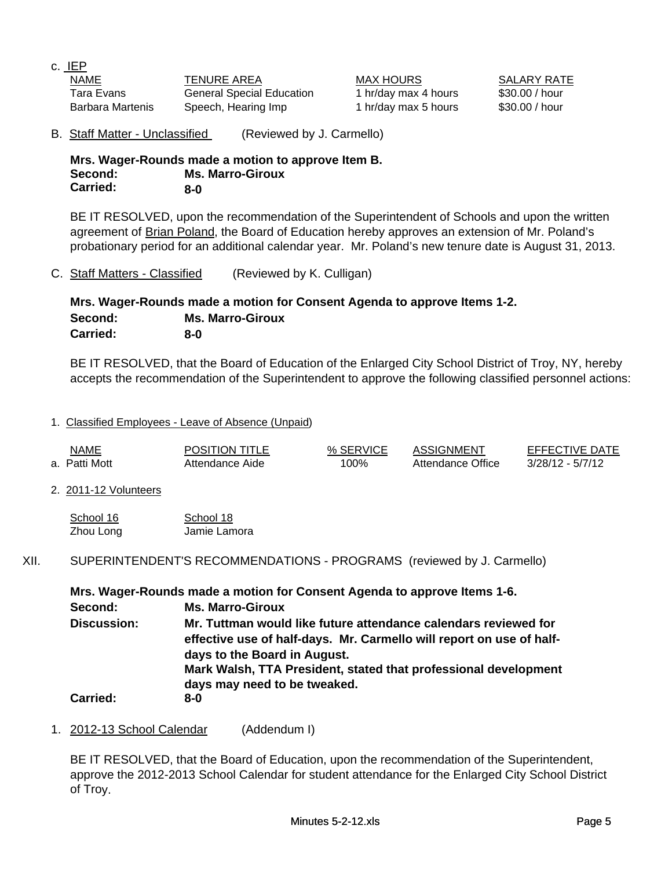c. IEP

NAME TENURE AREA MAX HOURS SALARY RATE Tara Evans **General Special Education** 1 hr/day max 4 hours \$30.00 / hour Barbara Martenis Speech, Hearing Imp 1 hr/day max 5 hours \$30.00 / hour

B. Staff Matter - Unclassified (Reviewed by J. Carmello)

**Mrs. Wager-Rounds made a motion to approve Item B. Second: Ms. Marro-Giroux Carried: 8-0**

BE IT RESOLVED, upon the recommendation of the Superintendent of Schools and upon the written agreement of Brian Poland, the Board of Education hereby approves an extension of Mr. Poland's probationary period for an additional calendar year. Mr. Poland's new tenure date is August 31, 2013.

C. Staff Matters - Classified (Reviewed by K. Culligan)

#### **Mrs. Wager-Rounds made a motion for Consent Agenda to approve Items 1-2. Second: Ms. Marro-Giroux Carried: 8-0**

BE IT RESOLVED, that the Board of Education of the Enlarged City School District of Troy, NY, hereby accepts the recommendation of the Superintendent to approve the following classified personnel actions:

## 1. Classified Employees - Leave of Absence (Unpaid)

| <b>NAME</b><br>and the contract of the contract of | <b>POSITION TITLE</b> | % SERVICE | ASSIGNMENT        | <b>EFFECTIVE DATE</b> |
|----------------------------------------------------|-----------------------|-----------|-------------------|-----------------------|
| a. Patti Mott                                      | Attendance Aide       | 100%      | Attendance Office | $3/28/12 - 5/7/12$    |

#### 2. 2011-12 Volunteers

| School 16 | School 18    |
|-----------|--------------|
| Zhou Long | Jamie Lamora |

### XII. SUPERINTENDENT'S RECOMMENDATIONS - PROGRAMS (reviewed by J. Carmello)

|                    | Mrs. Wager-Rounds made a motion for Consent Agenda to approve Items 1-6.                                                                                                |
|--------------------|-------------------------------------------------------------------------------------------------------------------------------------------------------------------------|
| Second:            | <b>Ms. Marro-Giroux</b>                                                                                                                                                 |
| <b>Discussion:</b> | Mr. Tuttman would like future attendance calendars reviewed for<br>effective use of half-days. Mr. Carmello will report on use of half-<br>days to the Board in August. |
|                    | Mark Walsh, TTA President, stated that professional development                                                                                                         |
| <b>Carried:</b>    | days may need to be tweaked.<br>$8-0$                                                                                                                                   |

1. 2012-13 School Calendar (Addendum I)

BE IT RESOLVED, that the Board of Education, upon the recommendation of the Superintendent, approve the 2012-2013 School Calendar for student attendance for the Enlarged City School District of Troy.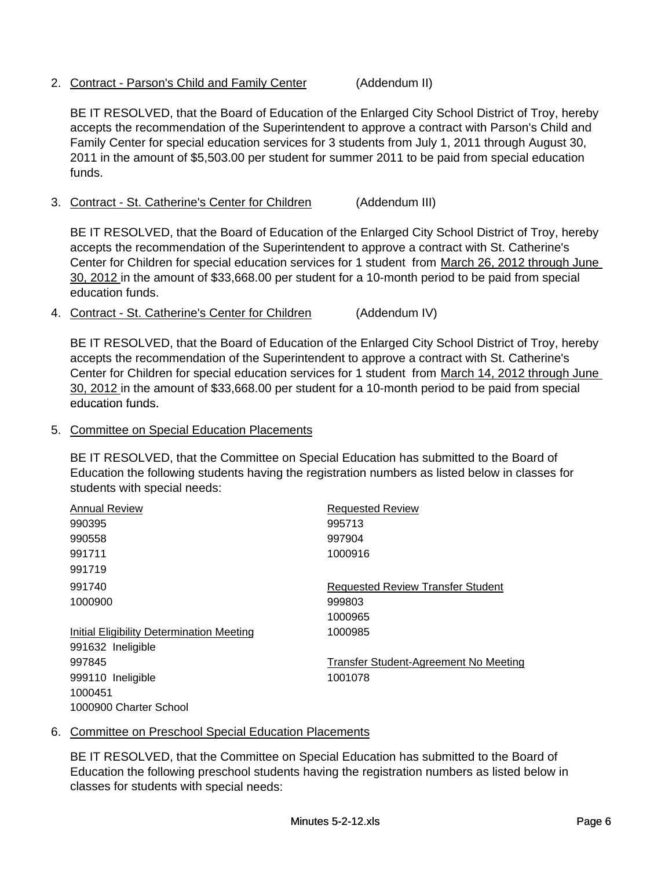2. Contract - Parson's Child and Family Center (Addendum II)

BE IT RESOLVED, that the Board of Education of the Enlarged City School District of Troy, hereby accepts the recommendation of the Superintendent to approve a contract with Parson's Child and Family Center for special education services for 3 students from July 1, 2011 through August 30, 2011 in the amount of \$5,503.00 per student for summer 2011 to be paid from special education funds.

3. Contract - St. Catherine's Center for Children (Addendum III)

BE IT RESOLVED, that the Board of Education of the Enlarged City School District of Troy, hereby accepts the recommendation of the Superintendent to approve a contract with St. Catherine's Center for Children for special education services for 1 student from March 26, 2012 through June 30, 2012 in the amount of \$33,668.00 per student for a 10-month period to be paid from special education funds.

4. Contract - St. Catherine's Center for Children (Addendum IV)

BE IT RESOLVED, that the Board of Education of the Enlarged City School District of Troy, hereby accepts the recommendation of the Superintendent to approve a contract with St. Catherine's Center for Children for special education services for 1 student from March 14, 2012 through June 30, 2012 in the amount of \$33,668.00 per student for a 10-month period to be paid from special education funds. education

#### 5. Committee on Special Education Placements

BE IT RESOLVED, that the Committee on Special Education has submitted to the Board of Education the following students having the registration numbers as listed below in classes for students with special needs:

| <b>Annual Review</b>                             | <b>Requested Review</b>                  |
|--------------------------------------------------|------------------------------------------|
| 990395                                           | 995713                                   |
| 990558                                           | 997904                                   |
| 991711                                           | 1000916                                  |
| 991719                                           |                                          |
| 991740                                           | <b>Requested Review Transfer Student</b> |
| 1000900                                          | 999803                                   |
|                                                  | 1000965                                  |
| <b>Initial Eligibility Determination Meeting</b> | 1000985                                  |
| 991632 Ineligible                                |                                          |
| 997845                                           | Transfer Student-Agreement No Meeting    |
| 999110 Ineligible                                | 1001078                                  |
| 1000451                                          |                                          |
| 1000900 Charter School                           |                                          |

#### 6. Committee on Preschool Special Education Placements

BE IT RESOLVED, that the Committee on Special Education has submitted to the Board of Education the following preschool students having the registration numbers as listed below in classes for students with special needs: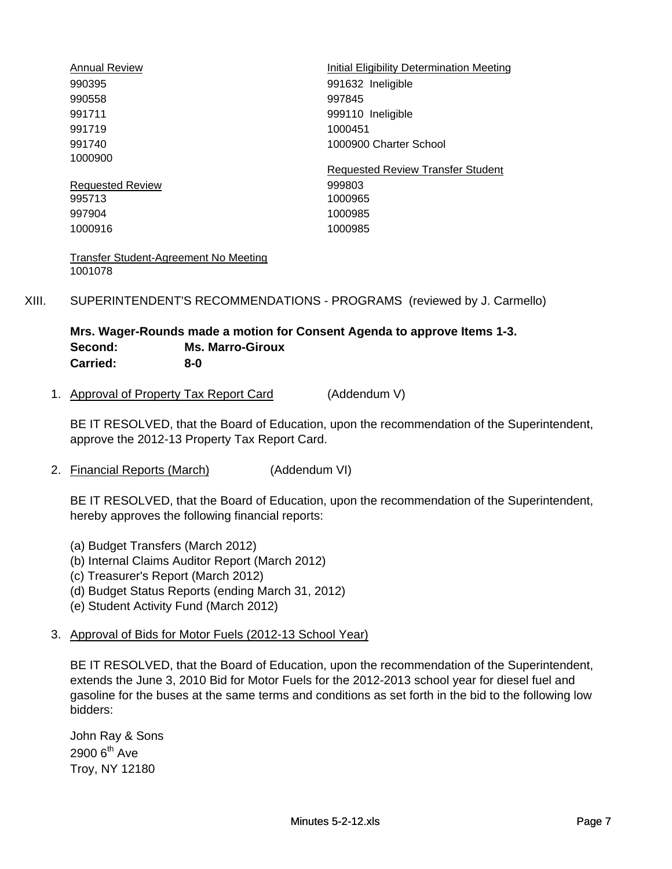| <b>Annual Review</b>    | Initial Eligibility Determination Meeting |
|-------------------------|-------------------------------------------|
| 990395                  | 991632 Ineligible                         |
| 990558                  | 997845                                    |
| 991711                  | 999110 Ineligible                         |
| 991719                  | 1000451                                   |
| 991740                  | 1000900 Charter School                    |
| 1000900                 |                                           |
|                         | <b>Requested Review Transfer Student</b>  |
| <b>Requested Review</b> | 999803                                    |
| 995713                  | 1000965                                   |
| 997904                  | 1000985                                   |
| 1000916                 | 1000985                                   |
|                         |                                           |

Transfer Student-Agreement No Meeting 1001078

XIII. SUPERINTENDENT'S RECOMMENDATIONS - PROGRAMS (reviewed by J. Carmello)

#### **Mrs. Wager-Rounds made a motion for Consent Agenda to approve Items 1-3. Second: Ms. Marro-Giroux Carried: 8-0**

1. Approval of Property Tax Report Card (Addendum V)

BE IT RESOLVED, that the Board of Education, upon the recommendation of the Superintendent, approve the 2012-13 Property Tax Report Card.

2. Financial Reports (March) (Addendum VI)

BE IT RESOLVED, that the Board of Education, upon the recommendation of the Superintendent, hereby approves the following financial reports:

- (a) Budget Transfers (March 2012)
- (b) Internal Claims Auditor Report (March 2012)
- (c) Treasurer's Report (March 2012)
- (d) Budget Status Reports (ending March 31, 2012)
- (e) Student Activity Fund (March 2012)

#### 3. Approval of Bids for Motor Fuels (2012-13 School Year)

BE IT RESOLVED, that the Board of Education, upon the recommendation of the Superintendent, extends the June 3, 2010 Bid for Motor Fuels for the 2012-2013 school year for diesel fuel and gasoline for the buses at the same terms and conditions as set forth in the bid to the following low bidders:

John Ray & Sons  $2900$   $6<sup>th</sup>$  Ave Troy, NY 12180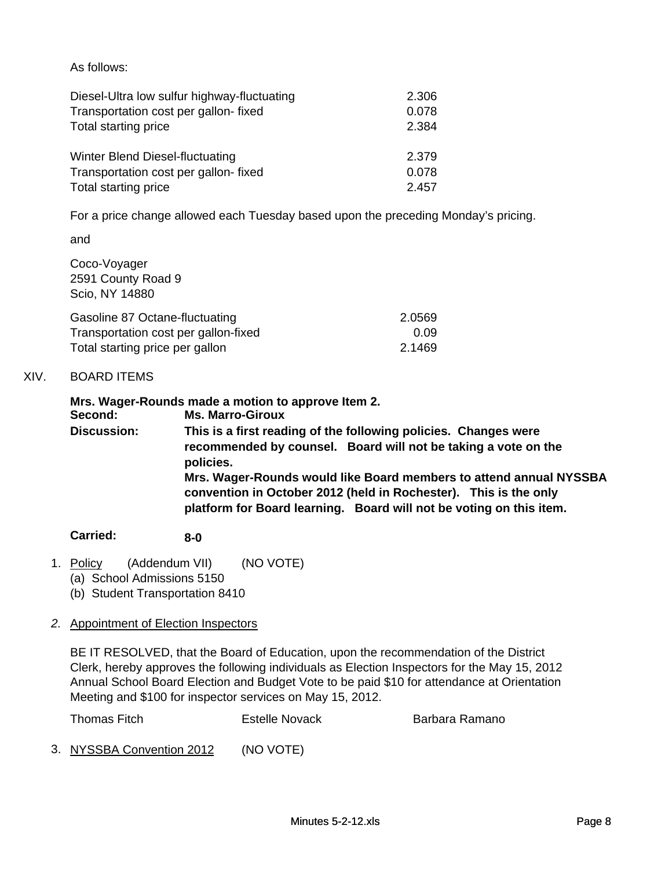As follows:

| Diesel-Ultra low sulfur highway-fluctuating | 2.306 |
|---------------------------------------------|-------|
| Transportation cost per gallon-fixed        | 0.078 |
| Total starting price                        | 2.384 |
| Winter Blend Diesel-fluctuating             | 2.379 |
| Transportation cost per gallon-fixed        | 0.078 |
| Total starting price                        | 2.457 |

For a price change allowed each Tuesday based upon the preceding Monday's pricing.

and

Coco-Voyager 2591 County Road 9 Scio, NY 14880

| Gasoline 87 Octane-fluctuating       | 2.0569 |
|--------------------------------------|--------|
| Transportation cost per gallon-fixed | 0.09   |
| Total starting price per gallon      | 2.1469 |

# XIV. BOARD ITEMS

**Mrs. Wager-Rounds made a motion to approve Item 2. Mrs. Wager Rounds made a motion to approve Item Second: Ms. Marro-Giroux This is a first reading of the following policies. Changes were recommended by counsel. Board will not be taking a vote on the policies. Discussion: Mrs. Wager-Rounds would like Board members to attend annual NYSSBA convention in October 2012 (held in Rochester). This is the only platform for Board learning. Board will not be voting on this item.**

#### **Carried: 8-0**

- 1. Policy (Addendum VII) (NO VOTE)
	- (a) School Admissions 5150
	- (b) Student Transportation 8410

# *2.* Appointment of Election Inspectors

BE IT RESOLVED, that the Board of Education, upon the recommendation of the District Clerk, hereby approves the following individuals as Election Inspectors for the May 15, 2012 Annual School Board Election and Budget Vote to be paid \$10 for attendance at Orientation Meeting and \$100 for inspector services on May 15, 2012.

| Thomas Fitch | <b>Estelle Novack</b> | Barbara Ramano |
|--------------|-----------------------|----------------|
|              |                       |                |

3. NYSSBA Convention 2012 (NO VOTE)